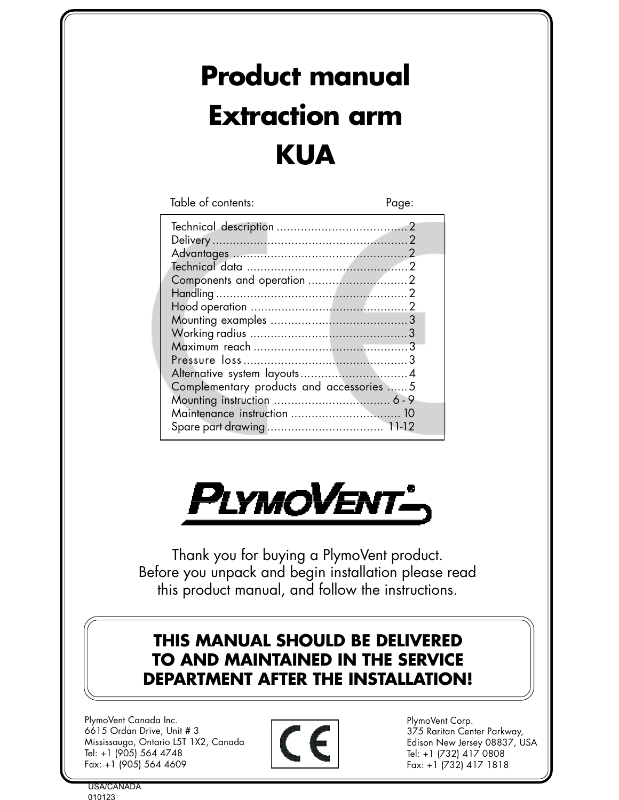# **Product manual Extraction arm KUA**

Table of contents: Page:

| Complementary products and accessories  5 |  |
|-------------------------------------------|--|
|                                           |  |
|                                           |  |
|                                           |  |
|                                           |  |



Thank you for buying a PlymoVent product. Before you unpack and begin installation please read this product manual, and follow the instructions.

# **THIS MANUAL SHOULD BE DELIVERED TO AND MAINTAINED IN THE SERVICE DEPARTMENT AFTER THE INSTALLATION!**

PlymoVent Canada Inc. 6615 Ordan Drive, Unit # 3 Mississauga, Ontario L5T 1X2, Canada Tel: +1 (905) 564 4748 Fax: +1 (905) 564 4609



PlymoVent Corp. 375 Raritan Center Parkway, Edison New Jersey 08837, USA Tel: +1 (732) 417 0808 Fax: +1 (732) 417 1818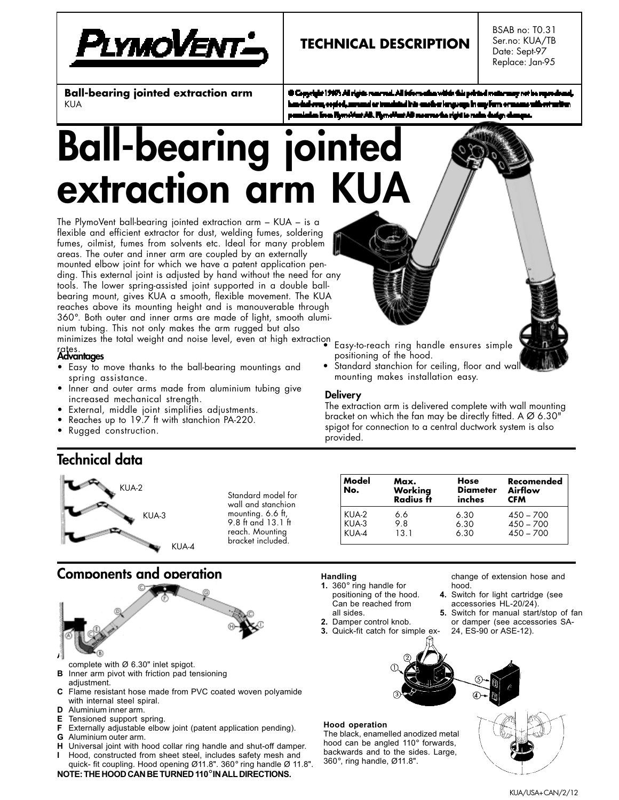

# **TECHNICAL DESCRIPTION**

BSAB no: T0.31 Ser.no: KUA/TB Date: Sept-97 Replace: Jan-95

**Ball-bearing jointed extraction arm** KUA

th Copyright 1967s All rights reserved. All information within this pointed matter may not be report ai ar treadaind iris eacher lenguaga in any fern oras m Flynsifest AB. Flynsifest AB mae matha rigid ia n

# **Ball-bearing joint extraction arm**

The PlymoVent ball-bearing jointed extraction arm – KUA – is a flexible and efficient extractor for dust, welding fumes, soldering fumes, oilmist, fumes from solvents etc. Ideal for many problem areas. The outer and inner arm are coupled by an externally mounted elbow joint for which we have a patent application pending. This external joint is adjusted by hand without the need for any tools. The lower spring-assisted joint supported in a double ballbearing mount, gives KUA a smooth, flexible movement. The KUA reaches above its mounting height and is manouverable through 360°. Both outer and inner arms are made of light, smooth aluminium tubing. This not only makes the arm rugged but also

minimizes the total weight and noise level, even at high extraction • Easy-to-reach ring handle ensures simple

## rates. **Advantages**

- Easy to move thanks to the ball-bearing mountings and spring assistance.
- Inner and outer arms made from aluminium tubing give increased mechanical strength.
- External, middle joint simplifies adjustments.
- Reaches up to 19.7 ft with stanchion PA-220.
- Rugged construction.

**Technical data**

### The extraction arm is delivered complete with wall mounting bracket on which the fan may be directly fitted. A Ø 6.30" spigot for connection to a central ductwork system is also provided.

positioning of the hood.

Standard stanchion for ceiling, floor and wal

mounting makes installation easy.

| KUA-2 |       |
|-------|-------|
| KUA-3 |       |
|       | KUA-4 |

Standard model for wall and stanchion mounting. 6.6 ft, 9.8 ft and 13.1 ft reach. Mounting bracket included.

| Model<br>No. | Max.<br>Workina<br>Radius ft | Hose<br><b>Diameter</b><br>inches | Recomended<br>Airflow<br><b>CFM</b> |  |  |
|--------------|------------------------------|-----------------------------------|-------------------------------------|--|--|
| KUA-2        | 66                           | 6.30                              | $450 - 700$                         |  |  |
| KUA-3        | 9.8                          | 6.30                              | $450 - 700$                         |  |  |
| KUA-4        | 13.1                         | 6.30                              | $450 - 700$                         |  |  |

## **Components and operation**



- complete with Ø 6.30" inlet spigot.
- **B** Inner arm pivot with friction pad tensioning
- adjustment.
- **C** Flame resistant hose made from PVC coated woven polyamide with internal steel spiral.
- **D** Aluminium inner arm.
- **E** Tensioned support spring.
- **F** Externally adjustable elbow joint (patent application pending).
- **G** Aluminium outer arm.
- **H** Universal joint with hood collar ring handle and shut-off damper.
- **I** Hood, constructed from sheet steel, includes safety mesh and quick- fit coupling. Hood opening Ø11.8". 360° ring handle Ø 11.8". **NOTE: THE HOOD CAN BE TURNED 110**° **IN ALL DIRECTIONS.**

#### **Handling**

**Delivery**

- **1.** 360° ring handle for positioning of the hood. Can be reached from
- all sides.
- **2.** Damper control knob.
- **3.** Quick-fit catch for simple ex-

change of extension hose and hood.

- **4.** Switch for light cartridge (see accessories HL-20/24).
- **5.** Switch for manual start/stop of fan or damper (see accessories SA-24, ES-90 or ASE-12).



#### **Hood operation**

The black, enamelled anodized metal hood can be angled 110° forwards, backwards and to the sides. Large, 360°, ring handle, Ø11.8".

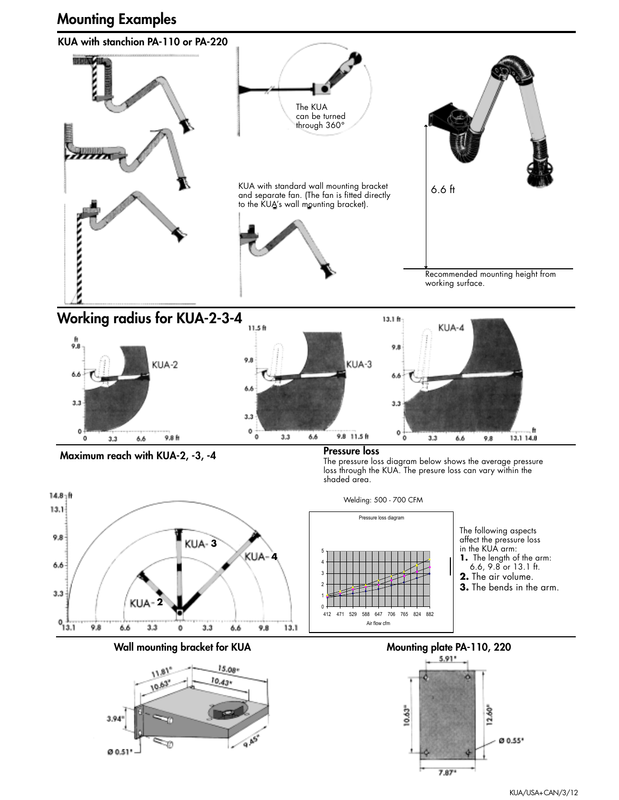# **Mounting Examples**

3.94

00.51

Ð



915



0 0.55\*

 $12.60^{\circ}$ 

10.63

7.87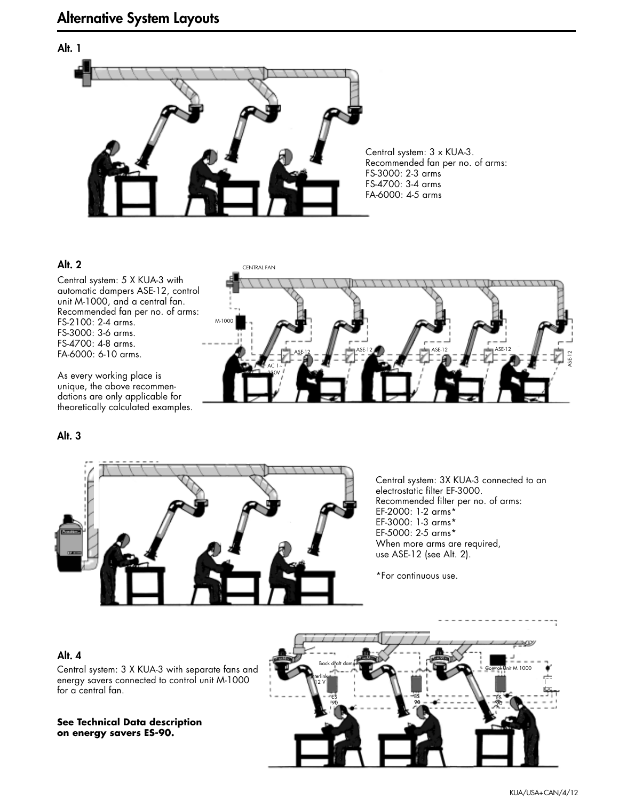# **Alt. 1**

Central system: 3 x KUA-3. Recommended fan per no. of arms: FS-3000: 2-3 arms FS-4700: 3-4 arms FA-6000: 4-5 arms

#### **Alt. 2**

Central system: 5 X KUA-3 with automatic dampers ASE-12, control unit M-1000, and a central fan. Recommended fan per no. of arms: FS-2100: 2-4 arms. FS-3000: 3-6 arms. FS-4700: 4-8 arms. FA-6000: 6-10 arms.

As every working place is unique, the above recommendations are only applicable for theoretically calculated examples.

#### **Alt. 3**



Central system: 3X KUA-3 connected to an electrostatic filter EF-3000. Recommended filter per no. of arms: EF-2000: 1-2 arms\* EF-3000: 1-3 arms\* EF-5000: 2-5 arms\* When more arms are required, use ASE-12 (see Alt. 2).

\*For continuous use.

#### **Alt. 4**



Central system: 3 X KUA-3 with separate fans and energy savers connected to control unit M-1000 for a central fan.

**See Technical Data description on energy savers ES-90.**

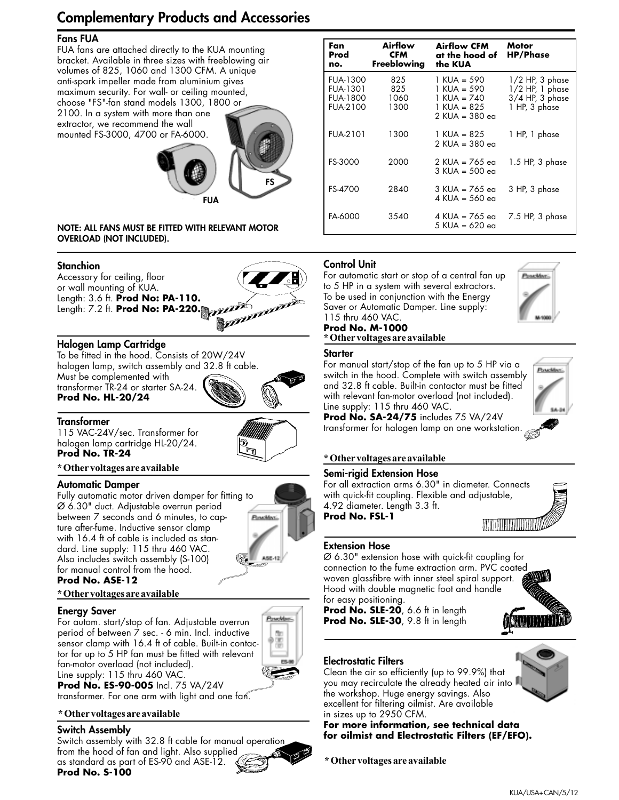# **Complementary Products and Accessories**

#### **Fans FUA**

FUA fans are attached directly to the KUA mounting bracket. Available in three sizes with freeblowing air volumes of 825, 1060 and 1300 CFM. A unique anti-spark impeller made from aluminium gives maximum security. For wall- or ceiling mounted, choose "FS"-fan stand models 1300, 1800 or 2100. In a system with more than one

extractor, we recommend the wall mounted FS-3000, 4700 or FA-6000.



#### **NOTE: ALL FANS MUST BE FITTED WITH RELEVANT MOTOR OVERLOAD (NOT INCLUDED).**

#### **Stanchion**

Accessory for ceiling, floor or wall mounting of KUA. Length: 3.6 ft. **Prod No: PA-110.** Length: 7.2 ft. **Prod No: PA-220.**



To be fitted in the hood. Consists of 20W/24V halogen lamp, switch assembly and 32.8 ft cable. Must be complemented with transformer TR-24 or starter SA-24.

**Prod No. HL-20/24**

#### **Transformer**

115 VAC-24V/sec. Transformer for halogen lamp cartridge HL-20/24. **Prod No. TR-24**



#### **\* Other voltages are available**

#### **Automatic Damper**

Fully automatic motor driven damper for fitting to Ø 6.30" duct. Adjustable overrun period between 7 seconds and 6 minutes, to capture after-fume. Inductive sensor clamp with 16.4 ft of cable is included as standard. Line supply: 115 thru 460 VAC. Also includes switch assembly (S-100) for manual control from the hood.



#### **Prod No. ASE-12**

#### **\* Other voltages are available**

#### **Energy Saver**

For autom. start/stop of fan. Adjustable overrun period of between 7 sec. - 6 min. Incl. inductive sensor clamp with 16.4 ft of cable. Built-in contactor for up to 5 HP fan must be fitted with relevant fan-motor overload (not included). Line supply: 115 thru 460 VAC. **Prod No. ES-90-005** Incl. 75 VA/24V



transformer. For one arm with light and one fan.

#### **\* Other voltages are available**

#### **Switch Assembly**

Switch assembly with 32.8 ft cable for manual operation from the hood of fan and light. Also supplied as standard as part of ES-90 and ASE-12.

| <b>Prod No. S-100</b> |  |  |
|-----------------------|--|--|
|                       |  |  |
|                       |  |  |
|                       |  |  |
|                       |  |  |

| Fan<br>Prod<br>no.                                         | Airflow<br>CFM<br>Freeblowing | Motor<br><b>HP/Phase</b><br>at the hood of                                     |                                                                              |  |
|------------------------------------------------------------|-------------------------------|--------------------------------------------------------------------------------|------------------------------------------------------------------------------|--|
| <b>FUA-1300</b><br>FUA-1301<br><b>FUA-1800</b><br>FUA-2100 | 825<br>825<br>1060<br>1300    | 1 KUA = 590<br>$1 KUA = 590$<br>1 KUA = 740<br>1 KUA = 825<br>$2$ KUA = 380 eg | $1/2$ HP, 3 phase<br>1/2 HP, 1 phase<br>$3/4$ HP, $3$ phase<br>1 HP, 3 phase |  |
| FUA-2101                                                   | 1300                          | 1 KUA = 825<br>$2$ KUA = 380 eg                                                | 1 HP, 1 phase                                                                |  |
| FS-3000                                                    | 2000                          | $2$ KUA = 765 eg<br>3 KUA = 500 eg                                             | $1.5$ HP, $3$ phase                                                          |  |
| <b>FS-4700</b>                                             | 2840                          | $3$ KUA = 765 eg<br>4 KUA = 560 ea                                             | 3 HP, 3 phase                                                                |  |
| FA-6000                                                    | 3540                          | 4 KUA = 765 ea<br>$5$ KUA = 620 eg                                             | 7.5 HP, 3 phase                                                              |  |

#### **Control Unit**

For automatic start or stop of a central fan up to 5 HP in a system with several extractors. To be used in conjunction with the Energy Saver or Automatic Damper. Line supply: 115 thru 460 VAC.



#### **Prod No. M-1000 \* Other voltages are available**

#### **Starter**

For manual start/stop of the fan up to 5 HP via a switch in the hood. Complete with switch assembly and 32.8 ft cable. Built-in contactor must be fitted with relevant fan-motor overload (not included). Line supply: 115 thru 460 VAC.



**Prod No. SA-24/75** includes 75 VA/24V transformer for halogen lamp on one workstation.

#### **\* Other voltages are available**

#### **Semi-rigid Extension Hose**

For all extraction arms 6.30" in diameter. Connects with quick-fit coupling. Flexible and adjustable, 4.92 diameter. Length 3.3 ft. **Prod No. FSL-1**

#### **Extension Hose**

Ø 6.30" extension hose with quick-fit coupling for connection to the fume extraction arm. PVC coated woven glassfibre with inner steel spiral support. Hood with double magnetic foot and handle for easy positioning.

**Prod No. SLE-20**, 6.6 ft in length **Prod No. SLE-30**, 9.8 ft in length



#### **Electrostatic Filters**

Clean the air so efficiently (up to 99.9%) that you may recirculate the already heated air into the workshop. Huge energy savings. Also excellent for filtering oilmist. Are available in sizes up to 2950 CFM.

**For more information, see technical data for oilmist and Electrostatic Filters (EF/EFO).**

**\* Other voltages are available**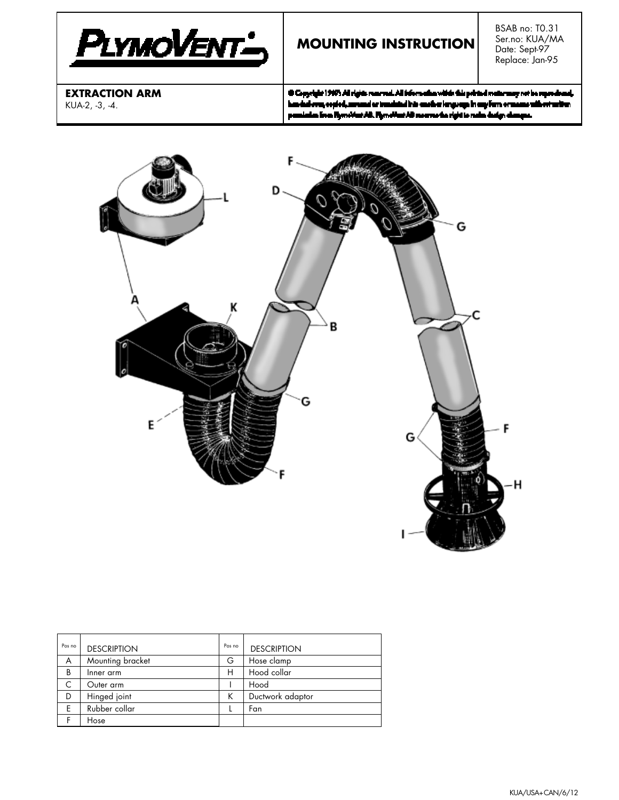

# **MOUNTING INSTRUCTION**

BSAB no: T0.31 Ser.no: KUA/MA Date: Sept-97 Replace: Jan-95

**EXTRACTION ARM** KUA-2, -3, -4.

10 Copyright 1997s All rights reserved. All information within this printed matter may not be reportiv zd, handad even, copied, annumel or translated into ensubseries groups in any form or mass er sitt eri artist dan lina. Flymridaet AB. Flymridaet AB moornardaa rigist to radio dasign dasargaa.



| Pos no | <b>DESCRIPTION</b> | Pos no | <b>DESCRIPTION</b> |
|--------|--------------------|--------|--------------------|
| A      | Mounting bracket   | G      | Hose clamp         |
| B      | Inner arm          | н      | Hood collar        |
|        | Outer arm          |        | Hood               |
| D      | Hinged joint       | Κ      | Ductwork adaptor   |
| Ε      | Rubber collar      |        | Fan                |
|        | Hose               |        |                    |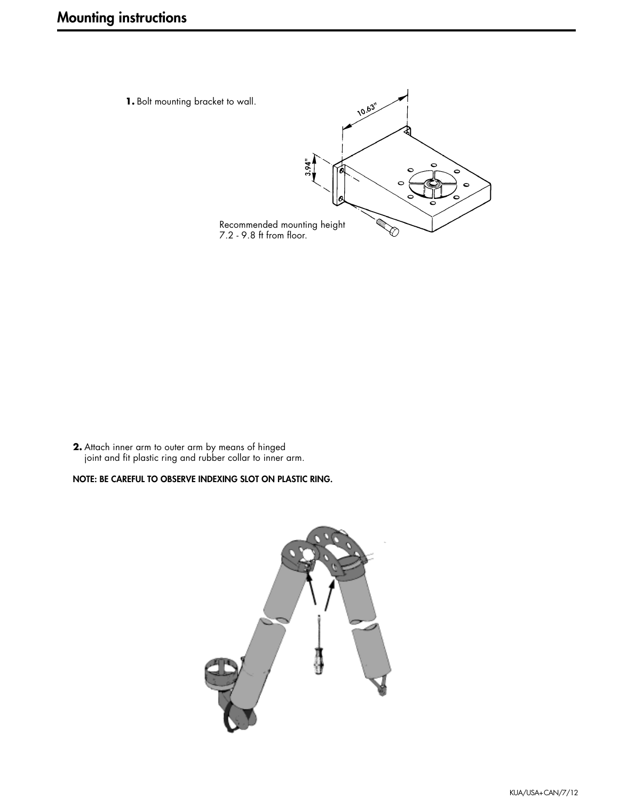**1.** Bolt mounting bracket to wall.



**2.** Attach inner arm to outer arm by means of hinged joint and fit plastic ring and rubber collar to inner arm.

#### **NOTE: BE CAREFUL TO OBSERVE INDEXING SLOT ON PLASTIC RING.**

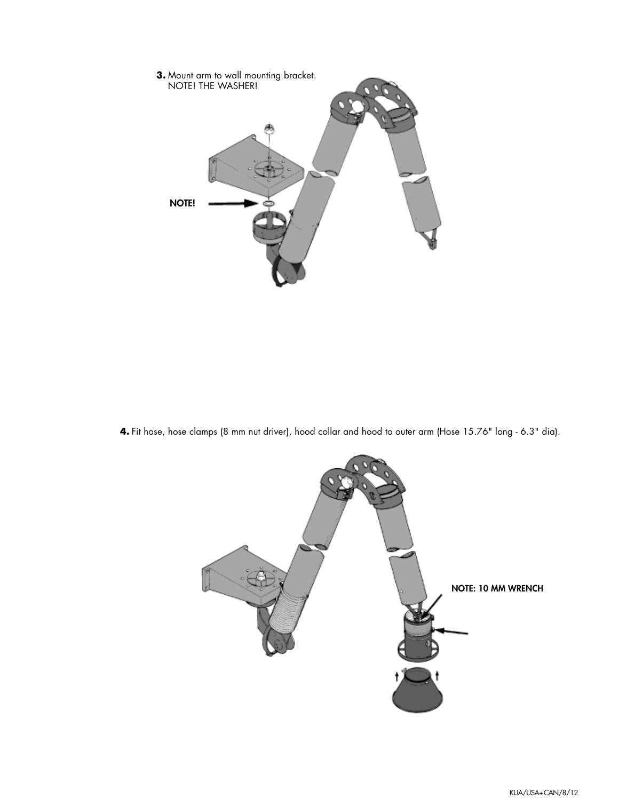

**4.** Fit hose, hose clamps (8 mm nut driver), hood collar and hood to outer arm (Hose 15.76" long - 6.3" dia).

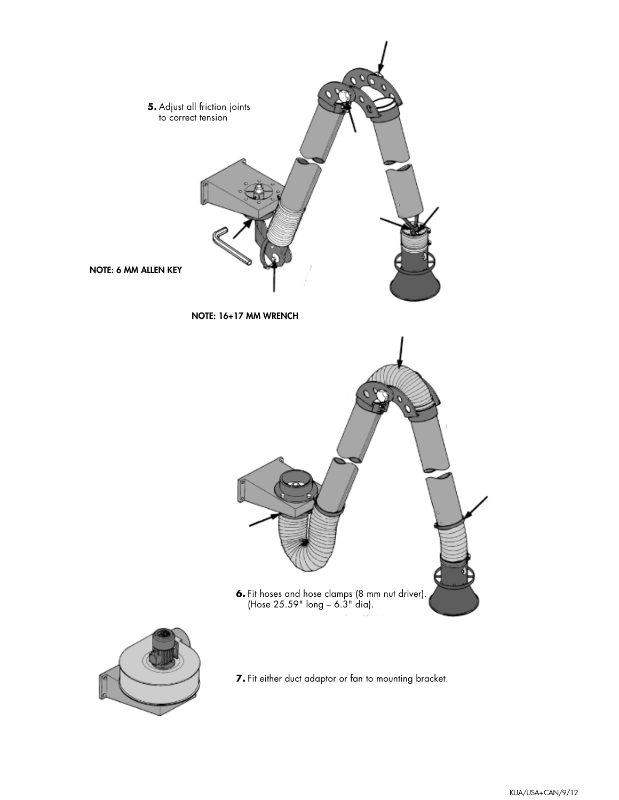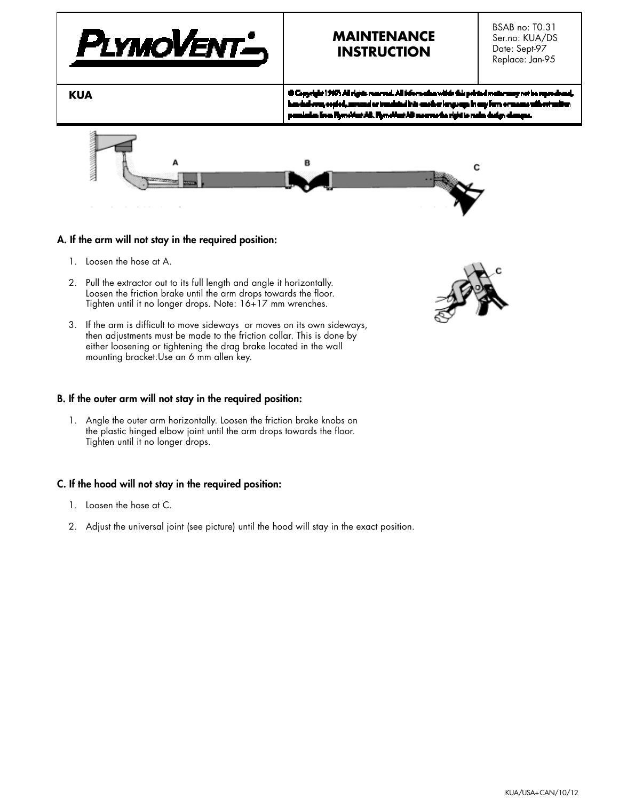

# **MAINTENANCE INSTRUCTION**

BSAB no: T0.31 Ser.no: KUA/DS Date: Sept-97 Replace: Jan-95

**KUA**

th Copyright 1997s All rights reserved. All information within this printed matter may not be repr kandad aya, secied, may nd er trædsted hår ensiker lengvege in eng forn oras n livn Flymridaet AD. Flymridaet AD more morfor rigid to make



#### **A. If the arm will not stay in the required position:**

- 1. Loosen the hose at A.
- 2. Pull the extractor out to its full length and angle it horizontally. Loosen the friction brake until the arm drops towards the floor. Tighten until it no longer drops. Note: 16+17 mm wrenches.
- 3. If the arm is difficult to move sideways or moves on its own sideways, then adjustments must be made to the friction collar. This is done by either loosening or tightening the drag brake located in the wall mounting bracket.Use an 6 mm allen key.

#### **B. If the outer arm will not stay in the required position:**

1. Angle the outer arm horizontally. Loosen the friction brake knobs on the plastic hinged elbow joint until the arm drops towards the floor. Tighten until it no longer drops.

#### **C. If the hood will not stay in the required position:**

- 1. Loosen the hose at C.
- 2. Adjust the universal joint (see picture) until the hood will stay in the exact position.

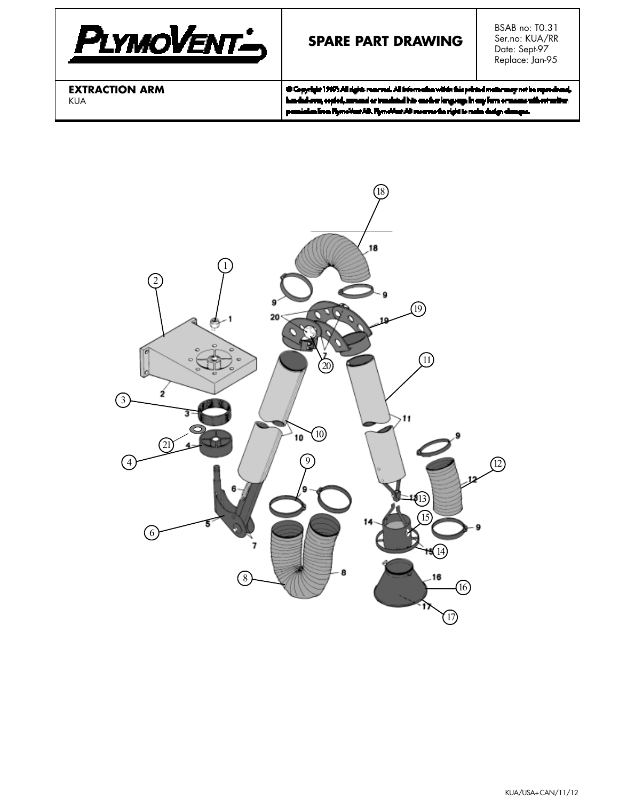

# **SPARE PART DRAWING**

BSAB no: T0.31 Ser.no: KUA/RR Date: Sept-97 Replace: Jan-95

**EXTRACTION ARM** KUA

@ Copyright 1997; All rights reserved. All information within this printed matter may not be reproduced, has deduced, copied, annual or translated into another language in any form or mass pemiatas līvas Rymotius AD. Rymotius AD mornu darīgist to neka dadgs dam ç.